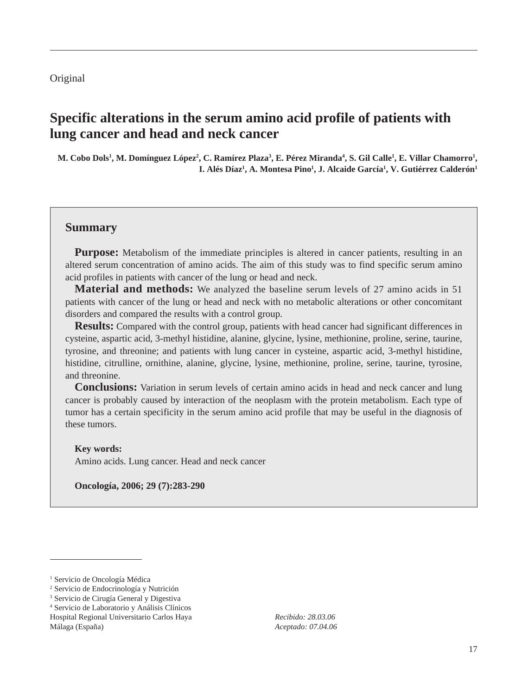### Original

# **Specific alterations in the serum amino acid profile of patients with lung cancer and head and neck cancer**

 ${\bf M.}$  Cobo Dols<sup>1</sup>,  ${\bf M.}$  Domínguez López $^2$ ,  ${\bf C.}$  Ramírez Plaza $^3$ ,  ${\bf E.}$  Pérez Miranda $^4$ ,  ${\bf S.}$  Gil Calle $^1$ ,  ${\bf E.}$  Villar Chamorro $^1$ , **I. Alés Díaz1 , A. Montesa Pino1 , J. Alcaide García1 , V. Gutiérrez Calderón1**

### **Summary**

**Purpose:** Metabolism of the immediate principles is altered in cancer patients, resulting in an altered serum concentration of amino acids. The aim of this study was to find specific serum amino acid profiles in patients with cancer of the lung or head and neck.

**Material and methods:** We analyzed the baseline serum levels of 27 amino acids in 51 patients with cancer of the lung or head and neck with no metabolic alterations or other concomitant disorders and compared the results with a control group.

**Results:** Compared with the control group, patients with head cancer had significant differences in cysteine, aspartic acid, 3-methyl histidine, alanine, glycine, lysine, methionine, proline, serine, taurine, tyrosine, and threonine; and patients with lung cancer in cysteine, aspartic acid, 3-methyl histidine, histidine, citrulline, ornithine, alanine, glycine, lysine, methionine, proline, serine, taurine, tyrosine, and threonine.

**Conclusions:** Variation in serum levels of certain amino acids in head and neck cancer and lung cancer is probably caused by interaction of the neoplasm with the protein metabolism. Each type of tumor has a certain specificity in the serum amino acid profile that may be useful in the diagnosis of these tumors.

#### **Key words:**

Amino acids. Lung cancer. Head and neck cancer

**Oncología, 2006; 29 (7):283-290**

*Recibido: 28.03.06 Aceptado: 07.04.06*

<sup>&</sup>lt;sup>1</sup> Servicio de Oncología Médica

<sup>2</sup> Servicio de Endocrinología y Nutrición

<sup>3</sup> Servicio de Cirugía General y Digestiva

<sup>4</sup> Servicio de Laboratorio y Análisis Clínicos Hospital Regional Universitario Carlos Haya Málaga (España)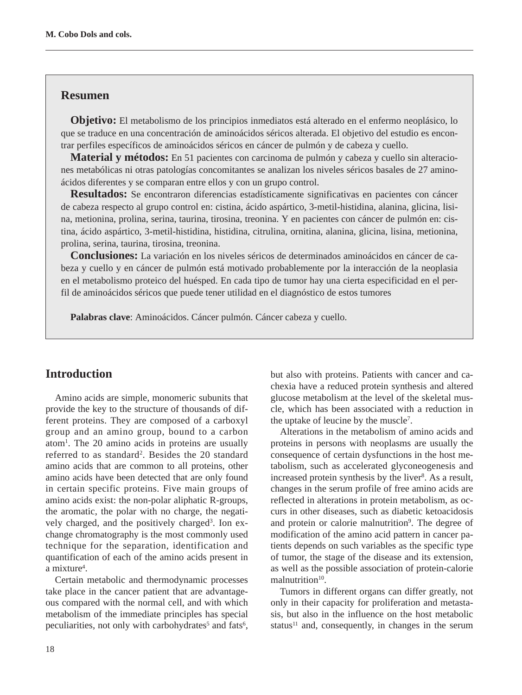### **Resumen**

**Objetivo:** El metabolismo de los principios inmediatos está alterado en el enfermo neoplásico, lo que se traduce en una concentración de aminoácidos séricos alterada. El objetivo del estudio es encontrar perfiles específicos de aminoácidos séricos en cáncer de pulmón y de cabeza y cuello.

**Material y métodos:** En 51 pacientes con carcinoma de pulmón y cabeza y cuello sin alteraciones metabólicas ni otras patologías concomitantes se analizan los niveles séricos basales de 27 aminoácidos diferentes y se comparan entre ellos y con un grupo control.

**Resultados:** Se encontraron diferencias estadísticamente significativas en pacientes con cáncer de cabeza respecto al grupo control en: cistina, ácido aspártico, 3-metil-histidina, alanina, glicina, lisina, metionina, prolina, serina, taurina, tirosina, treonina. Y en pacientes con cáncer de pulmón en: cistina, ácido aspártico, 3-metil-histidina, histidina, citrulina, ornitina, alanina, glicina, lisina, metionina, prolina, serina, taurina, tirosina, treonina.

**Conclusiones:** La variación en los niveles séricos de determinados aminoácidos en cáncer de cabeza y cuello y en cáncer de pulmón está motivado probablemente por la interacción de la neoplasia en el metabolismo proteico del huésped. En cada tipo de tumor hay una cierta especificidad en el perfil de aminoácidos séricos que puede tener utilidad en el diagnóstico de estos tumores

**Palabras clave**: Aminoácidos. Cáncer pulmón. Cáncer cabeza y cuello.

## **Introduction**

Amino acids are simple, monomeric subunits that provide the key to the structure of thousands of different proteins. They are composed of a carboxyl group and an amino group, bound to a carbon atom1 . The 20 amino acids in proteins are usually referred to as standard<sup>2</sup>. Besides the 20 standard amino acids that are common to all proteins, other amino acids have been detected that are only found in certain specific proteins. Five main groups of amino acids exist: the non-polar aliphatic R-groups, the aromatic, the polar with no charge, the negatively charged, and the positively charged<sup>3</sup>. Ion exchange chromatography is the most commonly used technique for the separation, identification and quantification of each of the amino acids present in a mixture<sup>4</sup>.

Certain metabolic and thermodynamic processes take place in the cancer patient that are advantageous compared with the normal cell, and with which metabolism of the immediate principles has special peculiarities, not only with carbohydrates<sup>5</sup> and fats<sup>6</sup>,

but also with proteins. Patients with cancer and cachexia have a reduced protein synthesis and altered glucose metabolism at the level of the skeletal muscle, which has been associated with a reduction in the uptake of leucine by the muscle<sup>7</sup>.

Alterations in the metabolism of amino acids and proteins in persons with neoplasms are usually the consequence of certain dysfunctions in the host metabolism, such as accelerated glyconeogenesis and increased protein synthesis by the liver<sup>8</sup>. As a result, changes in the serum profile of free amino acids are reflected in alterations in protein metabolism, as occurs in other diseases, such as diabetic ketoacidosis and protein or calorie malnutrition<sup>9</sup>. The degree of modification of the amino acid pattern in cancer patients depends on such variables as the specific type of tumor, the stage of the disease and its extension, as well as the possible association of protein-calorie malnutrition $10$ .

Tumors in different organs can differ greatly, not only in their capacity for proliferation and metastasis, but also in the influence on the host metabolic status $11$  and, consequently, in changes in the serum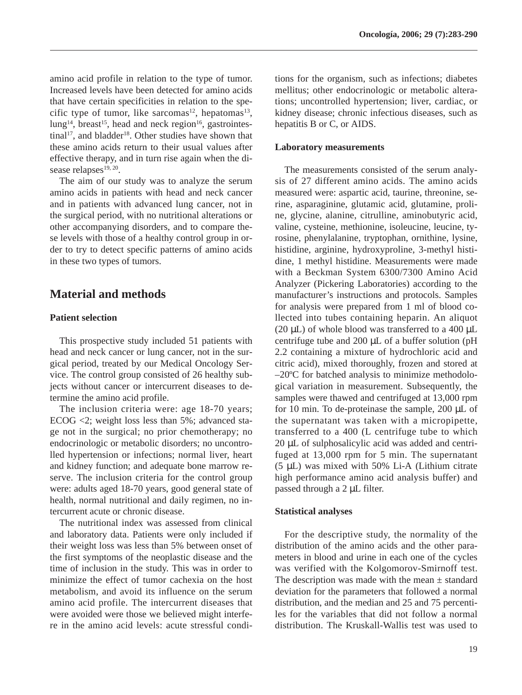amino acid profile in relation to the type of tumor. Increased levels have been detected for amino acids that have certain specificities in relation to the specific type of tumor, like sarcomas<sup>12</sup>, hepatomas<sup>13</sup>,  $\text{lung}^{14}$ , breast<sup>15</sup>, head and neck region<sup>16</sup>, gastrointestinal<sup>17</sup>, and bladder<sup>18</sup>. Other studies have shown that these amino acids return to their usual values after effective therapy, and in turn rise again when the disease relapses<sup>19, 20</sup>.

The aim of our study was to analyze the serum amino acids in patients with head and neck cancer and in patients with advanced lung cancer, not in the surgical period, with no nutritional alterations or other accompanying disorders, and to compare these levels with those of a healthy control group in order to try to detect specific patterns of amino acids in these two types of tumors.

## **Material and methods**

### **Patient selection**

This prospective study included 51 patients with head and neck cancer or lung cancer, not in the surgical period, treated by our Medical Oncology Service. The control group consisted of 26 healthy subjects without cancer or intercurrent diseases to determine the amino acid profile.

The inclusion criteria were: age 18-70 years; ECOG <2; weight loss less than 5%; advanced stage not in the surgical; no prior chemotherapy; no endocrinologic or metabolic disorders; no uncontrolled hypertension or infections; normal liver, heart and kidney function; and adequate bone marrow reserve. The inclusion criteria for the control group were: adults aged 18-70 years, good general state of health, normal nutritional and daily regimen, no intercurrent acute or chronic disease.

The nutritional index was assessed from clinical and laboratory data. Patients were only included if their weight loss was less than 5% between onset of the first symptoms of the neoplastic disease and the time of inclusion in the study. This was in order to minimize the effect of tumor cachexia on the host metabolism, and avoid its influence on the serum amino acid profile. The intercurrent diseases that were avoided were those we believed might interfere in the amino acid levels: acute stressful conditions for the organism, such as infections; diabetes mellitus; other endocrinologic or metabolic alterations; uncontrolled hypertension; liver, cardiac, or kidney disease; chronic infectious diseases, such as hepatitis B or C, or AIDS.

#### **Laboratory measurements**

The measurements consisted of the serum analysis of 27 different amino acids. The amino acids measured were: aspartic acid, taurine, threonine, serine, asparaginine, glutamic acid, glutamine, proline, glycine, alanine, citrulline, aminobutyric acid, valine, cysteine, methionine, isoleucine, leucine, tyrosine, phenylalanine, tryptophan, ornithine, lysine, histidine, arginine, hydroxyproline, 3-methyl histidine, 1 methyl histidine. Measurements were made with a Beckman System 6300/7300 Amino Acid Analyzer (Pickering Laboratories) according to the manufacturer's instructions and protocols. Samples for analysis were prepared from 1 ml of blood collected into tubes containing heparin. An aliquot (20  $\mu$ L) of whole blood was transferred to a 400  $\mu$ L centrifuge tube and 200  $\mu$ L of a buffer solution (pH 2.2 containing a mixture of hydrochloric acid and citric acid), mixed thoroughly, frozen and stored at –20ºC for batched analysis to minimize methodological variation in measurement. Subsequently, the samples were thawed and centrifuged at 13,000 rpm for 10 min. To de-proteinase the sample, 200 µL of the supernatant was taken with a micropipette, transferred to a 400 (L centrifuge tube to which 20 µL of sulphosalicylic acid was added and centrifuged at 13,000 rpm for 5 min. The supernatant (5 µL) was mixed with 50% Li-A (Lithium citrate high performance amino acid analysis buffer) and passed through a 2 µL filter.

#### **Statistical analyses**

For the descriptive study, the normality of the distribution of the amino acids and the other parameters in blood and urine in each one of the cycles was verified with the Kolgomorov-Smirnoff test. The description was made with the mean  $\pm$  standard deviation for the parameters that followed a normal distribution, and the median and 25 and 75 percentiles for the variables that did not follow a normal distribution. The Kruskall-Wallis test was used to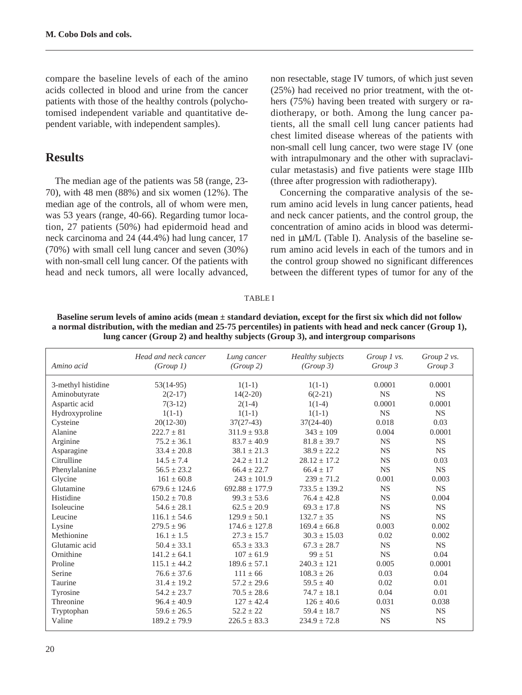compare the baseline levels of each of the amino acids collected in blood and urine from the cancer patients with those of the healthy controls (polychotomised independent variable and quantitative dependent variable, with independent samples).

## **Results**

The median age of the patients was 58 (range, 23- 70), with 48 men (88%) and six women (12%). The median age of the controls, all of whom were men, was 53 years (range, 40-66). Regarding tumor location, 27 patients (50%) had epidermoid head and neck carcinoma and 24 (44.4%) had lung cancer, 17 (70%) with small cell lung cancer and seven (30%) with non-small cell lung cancer. Of the patients with head and neck tumors, all were locally advanced,

non resectable, stage IV tumors, of which just seven (25%) had received no prior treatment, with the others (75%) having been treated with surgery or radiotherapy, or both. Among the lung cancer patients, all the small cell lung cancer patients had chest limited disease whereas of the patients with non-small cell lung cancer, two were stage IV (one with intrapulmonary and the other with supraclavicular metastasis) and five patients were stage IIIb (three after progression with radiotherapy).

Concerning the comparative analysis of the serum amino acid levels in lung cancer patients, head and neck cancer patients, and the control group, the concentration of amino acids in blood was determined in µM/L (Table I). Analysis of the baseline serum amino acid levels in each of the tumors and in the control group showed no significant differences between the different types of tumor for any of the

#### TABLE I

| Baseline serum levels of amino acids (mean $\pm$ standard deviation, except for the first six which did not follow |
|--------------------------------------------------------------------------------------------------------------------|
| a normal distribution, with the median and 25-75 percentiles) in patients with head and neck cancer (Group 1),     |
| lung cancer (Group 2) and healthy subjects (Group 3), and intergroup comparisons                                   |

| Amino acid         | Head and neck cancer<br>(Group 1) | Lung cancer<br>(Group 2) | Healthy subjects<br>(Group 3) | Group $l$ vs.<br>Group 3 | Group 2 vs.<br>Group 3 |
|--------------------|-----------------------------------|--------------------------|-------------------------------|--------------------------|------------------------|
|                    |                                   |                          |                               |                          |                        |
| 3-methyl histidine | $53(14-95)$                       | $1(1-1)$                 | $1(1-1)$                      | 0.0001                   | 0.0001                 |
| Aminobutyrate      | $2(2-17)$                         | $14(2-20)$               | $6(2-21)$                     | <b>NS</b>                | <b>NS</b>              |
| Aspartic acid      | $7(3-12)$                         | $2(1-4)$                 | $1(1-4)$                      | 0.0001                   | 0.0001                 |
| Hydroxyproline     | $1(1-1)$                          | $1(1-1)$                 | $1(1-1)$                      | <b>NS</b>                | <b>NS</b>              |
| Cysteine           | $20(12-30)$                       | $37(27-43)$              | $37(24-40)$                   | 0.018                    | 0.03                   |
| Alanine            | $222.7 \pm 81$                    | $311.9 \pm 93.8$         | $343 \pm 109$                 | 0.004                    | 0.0001                 |
| Arginine           | $75.2 \pm 36.1$                   | $83.7 \pm 40.9$          | $81.8 \pm 39.7$               | <b>NS</b>                | <b>NS</b>              |
| Asparagine         | $33.4 \pm 20.8$                   | $38.1 \pm 21.3$          | $38.9 \pm 22.2$               | <b>NS</b>                | <b>NS</b>              |
| Citrulline         | $14.5 \pm 7.4$                    | $24.2 \pm 11.2$          | $28.12 \pm 17.2$              | <b>NS</b>                | 0.03                   |
| Phenylalanine      | $56.5 \pm 23.2$                   | $66.4 + 22.7$            | $66.4 + 17$                   | <b>NS</b>                | <b>NS</b>              |
| Glycine            | $161 \pm 60.8$                    | $243 \pm 101.9$          | $239 \pm 71.2$                | 0.001                    | 0.003                  |
| Glutamine          | $679.6 \pm 124.6$                 | $692.88 \pm 177.9$       | $733.5 \pm 139.2$             | <b>NS</b>                | <b>NS</b>              |
| Histidine          | $150.2 \pm 70.8$                  | $99.3 + 53.6$            | $76.4 + 42.8$                 | <b>NS</b>                | 0.004                  |
| <b>Isoleucine</b>  | $54.6 + 28.1$                     | $62.5 \pm 20.9$          | $69.3 + 17.8$                 | <b>NS</b>                | <b>NS</b>              |
| Leucine            | $116.1 \pm 54.6$                  | $129.9 \pm 50.1$         | $132.7 \pm 35$                | <b>NS</b>                | <b>NS</b>              |
| Lysine             | $279.5 \pm 96$                    | $174.6 \pm 127.8$        | $169.4 \pm 66.8$              | 0.003                    | 0.002                  |
| Methionine         | $16.1 \pm 1.5$                    | $27.3 \pm 15.7$          | $30.3 \pm 15.03$              | 0.02                     | 0.002                  |
| Glutamic acid      | $50.4 \pm 33.1$                   | $65.3 \pm 33.3$          | $67.3 \pm 28.7$               | <b>NS</b>                | <b>NS</b>              |
| Ornithine          | $141.2 \pm 64.1$                  | $107 \pm 61.9$           | $99 \pm 51$                   | <b>NS</b>                | 0.04                   |
| Proline            | $115.1 \pm 44.2$                  | $189.6 \pm 57.1$         | $240.3 \pm 121$               | 0.005                    | 0.0001                 |
| Serine             | $76.6 \pm 37.6$                   | $111 \pm 66$             | $108.3 \pm 26$                | 0.03                     | 0.04                   |
| Taurine            | $31.4 \pm 19.2$                   | $57.2 \pm 29.6$          | $59.5 \pm 40$                 | 0.02                     | 0.01                   |
| Tyrosine           | $54.2 \pm 23.7$                   | $70.5 \pm 28.6$          | $74.7 \pm 18.1$               | 0.04                     | 0.01                   |
| Threonine          | $96.4 \pm 40.9$                   | $127 + 42.4$             | $126 \pm 40.6$                | 0.031                    | 0.038                  |
| Tryptophan         | $59.6 \pm 26.5$                   | $52.2 \pm 22$            | $59.4 \pm 18.7$               | <b>NS</b>                | <b>NS</b>              |
| Valine             | $189.2 \pm 79.9$                  | $226.5 \pm 83.3$         | $234.9 \pm 72.8$              | <b>NS</b>                | <b>NS</b>              |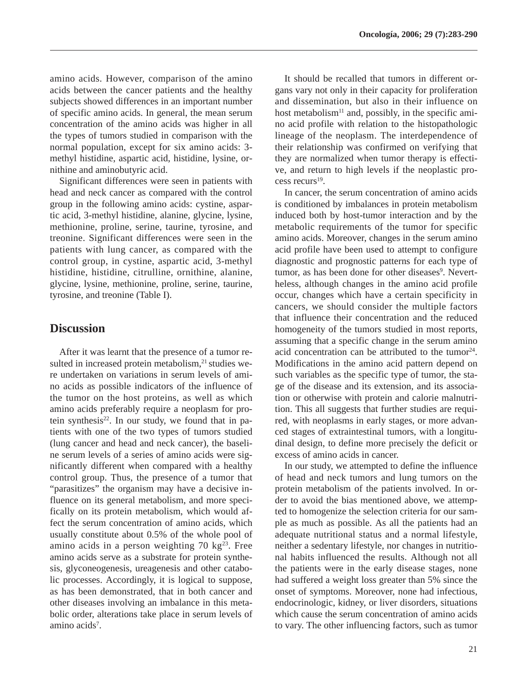amino acids. However, comparison of the amino acids between the cancer patients and the healthy subjects showed differences in an important number of specific amino acids. In general, the mean serum concentration of the amino acids was higher in all the types of tumors studied in comparison with the normal population, except for six amino acids: 3 methyl histidine, aspartic acid, histidine, lysine, ornithine and aminobutyric acid.

Significant differences were seen in patients with head and neck cancer as compared with the control group in the following amino acids: cystine, aspartic acid, 3-methyl histidine, alanine, glycine, lysine, methionine, proline, serine, taurine, tyrosine, and treonine. Significant differences were seen in the patients with lung cancer, as compared with the control group, in cystine, aspartic acid, 3-methyl histidine, histidine, citrulline, ornithine, alanine, glycine, lysine, methionine, proline, serine, taurine, tyrosine, and treonine (Table I).

### **Discussion**

After it was learnt that the presence of a tumor resulted in increased protein metabolism. $21$  studies were undertaken on variations in serum levels of amino acids as possible indicators of the influence of the tumor on the host proteins, as well as which amino acids preferably require a neoplasm for protein synthesis $22$ . In our study, we found that in patients with one of the two types of tumors studied (lung cancer and head and neck cancer), the baseline serum levels of a series of amino acids were significantly different when compared with a healthy control group. Thus, the presence of a tumor that "parasitizes" the organism may have a decisive influence on its general metabolism, and more specifically on its protein metabolism, which would affect the serum concentration of amino acids, which usually constitute about 0.5% of the whole pool of amino acids in a person weighting 70  $kg<sup>23</sup>$ . Free amino acids serve as a substrate for protein synthesis, glyconeogenesis, ureagenesis and other catabolic processes. Accordingly, it is logical to suppose, as has been demonstrated, that in both cancer and other diseases involving an imbalance in this metabolic order, alterations take place in serum levels of amino acids<sup>7</sup>.

It should be recalled that tumors in different organs vary not only in their capacity for proliferation and dissemination, but also in their influence on host metabolism<sup>11</sup> and, possibly, in the specific amino acid profile with relation to the histopathologic lineage of the neoplasm. The interdependence of their relationship was confirmed on verifying that they are normalized when tumor therapy is effective, and return to high levels if the neoplastic process recurs19.

In cancer, the serum concentration of amino acids is conditioned by imbalances in protein metabolism induced both by host-tumor interaction and by the metabolic requirements of the tumor for specific amino acids. Moreover, changes in the serum amino acid profile have been used to attempt to configure diagnostic and prognostic patterns for each type of tumor, as has been done for other diseases<sup>9</sup>. Nevertheless, although changes in the amino acid profile occur, changes which have a certain specificity in cancers, we should consider the multiple factors that influence their concentration and the reduced homogeneity of the tumors studied in most reports, assuming that a specific change in the serum amino acid concentration can be attributed to the tumor<sup>24</sup>. Modifications in the amino acid pattern depend on such variables as the specific type of tumor, the stage of the disease and its extension, and its association or otherwise with protein and calorie malnutrition. This all suggests that further studies are required, with neoplasms in early stages, or more advanced stages of extraintestinal tumors, with a longitudinal design, to define more precisely the deficit or excess of amino acids in cancer.

In our study, we attempted to define the influence of head and neck tumors and lung tumors on the protein metabolism of the patients involved. In order to avoid the bias mentioned above, we attempted to homogenize the selection criteria for our sample as much as possible. As all the patients had an adequate nutritional status and a normal lifestyle, neither a sedentary lifestyle, nor changes in nutritional habits influenced the results. Although not all the patients were in the early disease stages, none had suffered a weight loss greater than 5% since the onset of symptoms. Moreover, none had infectious, endocrinologic, kidney, or liver disorders, situations which cause the serum concentration of amino acids to vary. The other influencing factors, such as tumor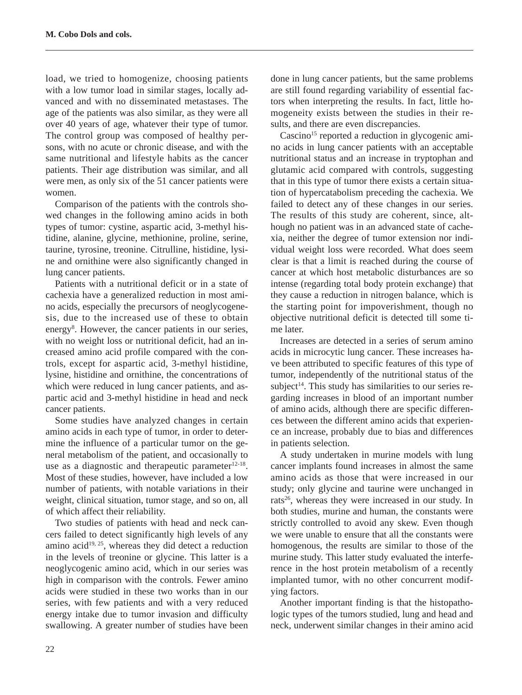load, we tried to homogenize, choosing patients with a low tumor load in similar stages, locally advanced and with no disseminated metastases. The age of the patients was also similar, as they were all over 40 years of age, whatever their type of tumor. The control group was composed of healthy persons, with no acute or chronic disease, and with the same nutritional and lifestyle habits as the cancer patients. Their age distribution was similar, and all were men, as only six of the 51 cancer patients were women.

Comparison of the patients with the controls showed changes in the following amino acids in both types of tumor: cystine, aspartic acid, 3-methyl histidine, alanine, glycine, methionine, proline, serine, taurine, tyrosine, treonine. Citrulline, histidine, lysine and ornithine were also significantly changed in lung cancer patients.

Patients with a nutritional deficit or in a state of cachexia have a generalized reduction in most amino acids, especially the precursors of neoglycogenesis, due to the increased use of these to obtain energy<sup>8</sup>. However, the cancer patients in our series, with no weight loss or nutritional deficit, had an increased amino acid profile compared with the controls, except for aspartic acid, 3-methyl histidine, lysine, histidine and ornithine, the concentrations of which were reduced in lung cancer patients, and aspartic acid and 3-methyl histidine in head and neck cancer patients.

Some studies have analyzed changes in certain amino acids in each type of tumor, in order to determine the influence of a particular tumor on the general metabolism of the patient, and occasionally to use as a diagnostic and therapeutic parameter $12-18$ . Most of these studies, however, have included a low number of patients, with notable variations in their weight, clinical situation, tumor stage, and so on, all of which affect their reliability.

Two studies of patients with head and neck cancers failed to detect significantly high levels of any amino acid<sup>19, 25</sup>, whereas they did detect a reduction in the levels of treonine or glycine. This latter is a neoglycogenic amino acid, which in our series was high in comparison with the controls. Fewer amino acids were studied in these two works than in our series, with few patients and with a very reduced energy intake due to tumor invasion and difficulty swallowing. A greater number of studies have been done in lung cancer patients, but the same problems are still found regarding variability of essential factors when interpreting the results. In fact, little homogeneity exists between the studies in their results, and there are even discrepancies.

Cascino<sup>15</sup> reported a reduction in glycogenic amino acids in lung cancer patients with an acceptable nutritional status and an increase in tryptophan and glutamic acid compared with controls, suggesting that in this type of tumor there exists a certain situation of hypercatabolism preceding the cachexia. We failed to detect any of these changes in our series. The results of this study are coherent, since, although no patient was in an advanced state of cachexia, neither the degree of tumor extension nor individual weight loss were recorded. What does seem clear is that a limit is reached during the course of cancer at which host metabolic disturbances are so intense (regarding total body protein exchange) that they cause a reduction in nitrogen balance, which is the starting point for impoverishment, though no objective nutritional deficit is detected till some time later.

Increases are detected in a series of serum amino acids in microcytic lung cancer. These increases have been attributed to specific features of this type of tumor, independently of the nutritional status of the subject<sup>14</sup>. This study has similarities to our series regarding increases in blood of an important number of amino acids, although there are specific differences between the different amino acids that experience an increase, probably due to bias and differences in patients selection.

A study undertaken in murine models with lung cancer implants found increases in almost the same amino acids as those that were increased in our study; only glycine and taurine were unchanged in rats<sup>26</sup>, whereas they were increased in our study. In both studies, murine and human, the constants were strictly controlled to avoid any skew. Even though we were unable to ensure that all the constants were homogenous, the results are similar to those of the murine study. This latter study evaluated the interference in the host protein metabolism of a recently implanted tumor, with no other concurrent modifying factors.

Another important finding is that the histopathologic types of the tumors studied, lung and head and neck, underwent similar changes in their amino acid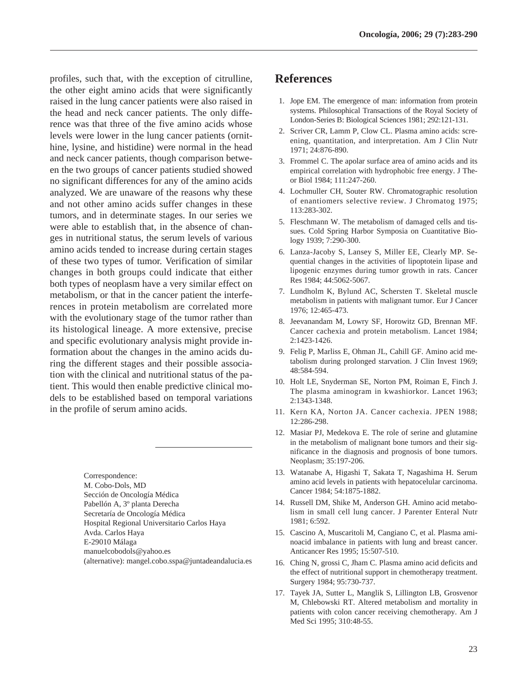profiles, such that, with the exception of citrulline, the other eight amino acids that were significantly raised in the lung cancer patients were also raised in the head and neck cancer patients. The only difference was that three of the five amino acids whose levels were lower in the lung cancer patients (ornithine, lysine, and histidine) were normal in the head and neck cancer patients, though comparison between the two groups of cancer patients studied showed no significant differences for any of the amino acids analyzed. We are unaware of the reasons why these and not other amino acids suffer changes in these tumors, and in determinate stages. In our series we were able to establish that, in the absence of changes in nutritional status, the serum levels of various amino acids tended to increase during certain stages of these two types of tumor. Verification of similar changes in both groups could indicate that either both types of neoplasm have a very similar effect on metabolism, or that in the cancer patient the interferences in protein metabolism are correlated more with the evolutionary stage of the tumor rather than its histological lineage. A more extensive, precise and specific evolutionary analysis might provide information about the changes in the amino acids during the different stages and their possible association with the clinical and nutritional status of the patient. This would then enable predictive clinical models to be established based on temporal variations in the profile of serum amino acids.

> Correspondence: M. Cobo-Dols, MD Sección de Oncología Médica Pabellón A, 3º planta Derecha Secretaría de Oncología Médica Hospital Regional Universitario Carlos Haya Avda. Carlos Haya E-29010 Málaga manuelcobodols@yahoo.es (alternative): mangel.cobo.sspa@juntadeandalucia.es

## **References**

- 1. Jope EM. The emergence of man: information from protein systems. Philosophical Transactions of the Royal Society of London-Series B: Biological Sciences 1981; 292:121-131.
- 2. Scriver CR, Lamm P, Clow CL. Plasma amino acids: screening, quantitation, and interpretation. Am J Clin Nutr 1971; 24:876-890.
- 3. Frommel C. The apolar surface area of amino acids and its empirical correlation with hydrophobic free energy. J Theor Biol 1984; 111:247-260.
- 4. Lochmuller CH, Souter RW. Chromatographic resolution of enantiomers selective review. J Chromatog 1975; 113:283-302.
- 5. Fleschmann W. The metabolism of damaged cells and tissues. Cold Spring Harbor Symposia on Cuantitative Biology 1939; 7:290-300.
- 6. Lanza-Jacoby S, Lansey S, Miller EE, Clearly MP. Sequential changes in the activities of lipoptotein lipase and lipogenic enzymes during tumor growth in rats. Cancer Res 1984; 44:5062-5067.
- 7. Lundholm K, Bylund AC, Schersten T. Skeletal muscle metabolism in patients with malignant tumor. Eur J Cancer 1976; 12:465-473.
- 8. Jeevanandam M, Lowry SF, Horowitz GD, Brennan MF. Cancer cachexia and protein metabolism. Lancet 1984; 2:1423-1426.
- 9. Felig P, Marliss E, Ohman JL, Cahill GF. Amino acid metabolism during prolonged starvation. J Clin Invest 1969; 48:584-594.
- 10. Holt LE, Snyderman SE, Norton PM, Roiman E, Finch J. The plasma aminogram in kwashiorkor. Lancet 1963; 2:1343-1348.
- 11. Kern KA, Norton JA. Cancer cachexia. JPEN 1988; 12:286-298.
- 12. Masiar PJ, Medekova E. The role of serine and glutamine in the metabolism of malignant bone tumors and their significance in the diagnosis and prognosis of bone tumors. Neoplasm; 35:197-206.
- 13. Watanabe A, Higashi T, Sakata T, Nagashima H. Serum amino acid levels in patients with hepatocelular carcinoma. Cancer 1984; 54:1875-1882.
- 14. Russell DM, Shike M, Anderson GH. Amino acid metabolism in small cell lung cancer. J Parenter Enteral Nutr 1981; 6:592.
- 15. Cascino A, Muscaritoli M, Cangiano C, et al. Plasma aminoacid imbalance in patients with lung and breast cancer. Anticancer Res 1995; 15:507-510.
- 16. Ching N, grossi C, Jham C. Plasma amino acid deficits and the effect of nutritional support in chemotherapy treatment. Surgery 1984; 95:730-737.
- 17. Tayek JA, Sutter L, Manglik S, Lillington LB, Grosvenor M, Chlebowski RT. Altered metabolism and mortality in patients with colon cancer receiving chemotherapy. Am J Med Sci 1995; 310:48-55.